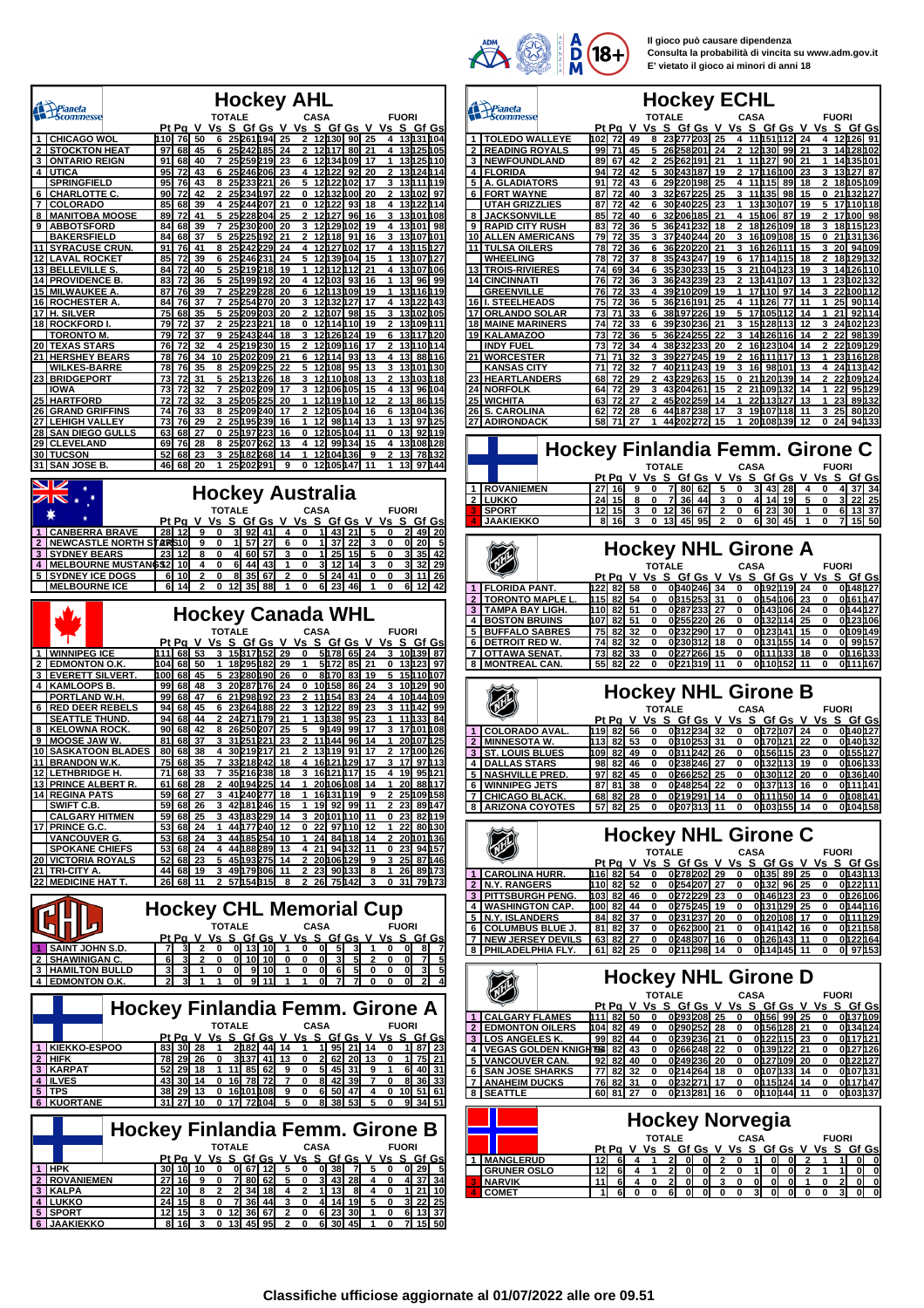

**Il gioco può causare dipendenza Consulta la probabilità di vincita su www.adm.gov.it E' vietato il gioco ai minori di anni 18**

|          | Prianeta<br>Scommesse                             |                                 |          |                       |            | <b>TOTALE</b> |              | <b>Hockey AHL</b>                                   |          |          |                   | <b>CASA</b>       |                        |               |                     |             | <b>FUORI</b> |                          |                       |
|----------|---------------------------------------------------|---------------------------------|----------|-----------------------|------------|---------------|--------------|-----------------------------------------------------|----------|----------|-------------------|-------------------|------------------------|---------------|---------------------|-------------|--------------|--------------------------|-----------------------|
| 1        | <b>CHICAGO WOL</b>                                |                                 | 110      | Pt Pa V<br>76         | 50         | Vs S<br>6     |              | <u>Gf Gs</u><br>25 261 194                          |          | 25       | V Vs S Gf Gs      | 12130             |                        | 90            | V Vs<br>25          |             |              | S Gf Gs<br>13131104      |                       |
| 2        | <b>STOCKTON HEAT</b>                              |                                 | 97       | 68                    | 45         | 6             |              | 25242185                                            |          | 24       | 2                 | 12h17             |                        | 80            | 21                  | 4           |              | 13125105                 |                       |
| 3<br>4   | <b>ONTARIO REIGN</b><br><b>UTICA</b>              |                                 | 91<br>95 | 68<br>72              | 40<br>43   | 7<br>6        | 25           | 25259219<br>246 206                                 |          | 23<br>23 | 6<br>4            | 12∏22             | 12134109               | 92            | 17<br>20            | 1<br>2      |              | 13125110<br>13124114     |                       |
|          | <b>SPRINGFIELD</b>                                |                                 | 95       | 76                    | 43         | 8             |              | 25233221                                            |          | 26       | 5                 | 12122             |                        | 102           | 17                  | 3           |              | 13 111 19                |                       |
| 6<br>7   | <b>CHARLOTTE C</b>                                |                                 | 90<br>85 | 72                    | 42         | 2<br>4        | 25           | 25234197                                            |          | 22<br>21 | 0<br>0            | 12132<br>12       | 122                    | 100           | 20<br>18            | 2<br>4      |              | 13h02                    | 97<br>h 14            |
| 8        | <b>COLORADO</b><br><b>MANITOBA MOOSE</b>          |                                 | 89       | 68<br>72              | 39<br>41   | 5             |              | 244 207<br>25 228 204                               |          | 25       | 2                 | 12h27             |                        | 93<br>96      | 16                  | 3           |              | 131122<br>13101108       |                       |
| 9        | <b>ABBOTSFORD</b>                                 |                                 | 84       | 68                    | 39         | 7             | 25           | 230 200                                             |          | 20       | 3                 | 12129             |                        | 102           | 19                  | 4           |              | 13101                    | 98                    |
| 11       | <b>BAKERSFIELD</b><br><b>SYRACUSE CRUN</b>        |                                 | 84<br>91 | 68<br>76              | 37<br>41   | 5<br>8        | 25           | 225192<br>25242229                                  |          | 21<br>24 | 2<br>4            | 12118             | 12027002               | 91            | 16<br>17            | 3<br>4      |              | 13107101<br>13115127     |                       |
| 12       | <b>LAVAL ROCKET</b>                               |                                 | 85       | 72                    | 39         | 6             |              | 25246231                                            |          | 24       |                   |                   | 12h39104               |               | 15                  | 1           |              | 13107127                 |                       |
| 13<br>14 | <u>BELLEVILLE S</u><br><b>PROVIDENCE B</b>        |                                 | 84<br>83 | 72<br>72              | 40<br>36   | 5<br>5        |              | 25219218<br>25 199 192                              |          | 19<br>20 | 1<br>4            | 12112<br>12103    |                        | 112<br>93     | 21<br>16            | 4<br>1      | 13           | 13µ07<br>96              | M 06<br>99            |
|          | <b>MILWAUKEE A</b>                                |                                 | 87       | 76                    | 39         | 7             |              | 25 229 228                                          |          | 20       | 6                 | 12h <sub>13</sub> |                        | 109           | 19                  | 1           |              | 13116119                 |                       |
| 16       | <b>ROCHESTER A</b>                                |                                 | 84       | 76                    | 37         | 7             | 25           | 254 270                                             |          | 20       | 3                 | 12                | 132                    | 127           | 17                  | 4           |              | 13122143                 |                       |
| 17<br>18 | H. SILVER<br><b>ROCKFORD I</b>                    |                                 | 75<br>79 | 68<br>72              | 35<br>37   | 5<br>2        |              | 25 209 203<br>25223221                              |          | 20<br>18 | 2<br>0            | 12107<br>12114    |                        | 98<br>110     | 15<br>19            | 3<br>2      |              | 13102105<br>13109111     |                       |
|          | <u>TORONTO M.</u>                                 |                                 | 79       | 72                    | 37         | 9             | 25           | 243244                                              |          | 18       | 3                 | 12                | 126                    | 124           | 19                  | 6           |              | 13117120                 |                       |
| 20<br>21 | <b>TEXAS STARS</b><br><b>HERSHEY BEARS</b>        |                                 | 76<br>78 | 72<br>76              | 32<br>34   | 4<br>10       |              | 25219230<br>25 202 209                              |          | 15<br>21 | 2<br>6            | 12114             | 12109116               | 93            | 17<br>13            | 2<br>4      | 13           | 13110114                 | 88116                 |
|          | <u>WILKES-BARRE</u>                               |                                 | 78       | 76                    | 35         | 8             | 25           | 209225                                              |          | 22       | 5                 | 12                | 108                    | 95            | 13                  | 3           |              | 13101130                 |                       |
| $^{23}$  | <b>BRIDGEPORT</b>                                 |                                 | 73       | 72                    | 31         | 5             |              | 25 213 226                                          |          | 18       | 3                 |                   | 12110108               |               | 13                  | 2           |              | 13103118                 |                       |
| 25       | <b>IOWA</b><br><b>HARTFORD</b>                    |                                 | 73<br>72 | 72<br>72              | 32<br>32   | з             | 25           | 25202209<br>205225                                  |          | 17<br>20 | 1                 | 12                | 12106105<br>119        | 110           | 15<br>12            | 4<br>2      | 13<br>13     |                          | 96104<br>86115        |
|          | 26 GRAND GRIFFINS                                 |                                 | 74       | 76                    | 33         | 8             |              | 25209240                                            |          | 17       | 2                 |                   | 12105104               |               | 16                  | 6           |              | 13h04l                   | H 36                  |
| 27<br>28 | <b>LEHIGH VALLEY</b><br><b>SAN DIEGO GULLS</b>    |                                 | 73<br>63 | 76<br>68              | 29<br>27   | 2<br>0        |              | 25195239<br>25197223                                |          | 16<br>16 | 1<br>0            | 12<br>12          | 98<br>105              | 114<br>104    | 13<br>11            | 1<br>0      | 13<br>13     | 97<br>92                 | 125<br>h 19           |
| 29       | <b>CLEVELAND</b>                                  |                                 | 69       | 76                    | 28         | 8             |              | 25 207 262                                          |          | 13       | 4                 | 12                | 99                     | 134           | 15                  | 4           |              | 13108128                 |                       |
| 30<br>31 | <b>TUCSON</b><br><b>SAN JOSE B.</b>               |                                 | 52<br>46 | 68<br>68              | 23<br>20   | 1             |              | 25182268<br>25 202 291                              |          | 14<br>g  | 1<br>0            |                   | 12104136<br>12h05h47   |               | 9<br>11             |             | 13<br>13     | 97                       | 78h32<br>144          |
|          |                                                   |                                 |          |                       |            |               |              |                                                     |          |          |                   |                   |                        |               |                     |             |              |                          |                       |
|          | v                                                 |                                 |          |                       |            |               |              | <b>Hockey Australia</b>                             |          |          |                   |                   |                        |               |                     |             |              |                          |                       |
|          |                                                   |                                 |          |                       |            | <b>TOTALE</b> |              |                                                     |          |          |                   | <b>CASA</b>       |                        |               |                     |             | <b>FUORI</b> |                          |                       |
|          |                                                   |                                 |          | Pt Pg                 |            | Vs S          |              | <u>Gf Gs</u>                                        |          | V Vs     |                   |                   | S Gf Gs                |               | ٧                   | Vs S Gf Gs  |              |                          |                       |
| 1<br>2   | <b>CANBERRA BRAVE</b><br><b>NEWCASTLE NORTH S</b> |                                 | 28       | 12<br>ALRIS10         | 9<br>9     | 0<br>0        | 3<br>1       | 92<br>57                                            | 41<br>27 | 4<br>6   | 0<br>0            | 1<br>1            | -43<br>37              | 21<br>22      | 5<br>3              | 0<br>0      | 2<br>0       | 49<br>20                 | -20<br>5              |
| 3        | <b>SYDNEY BEARS</b>                               |                                 | 23       | 12                    | 8          | 0             | 4            | 60                                                  | 57       | 3        | 0                 | 1                 | 25                     | 15            | 5                   | 0           | 3            | 35                       | 42                    |
| 4        | <b>MELBOURNE MUSTANGS2</b>                        |                                 |          | 10                    | 4          | 0             | 6            | 44                                                  | 43       | 1        | 0                 | 3                 | 12                     | 14            | 3                   | 0           | 3            | 32                       | 29                    |
|          | <b>SYDNEY ICE DOGS</b><br><b>MELBOURNE ICE</b>    |                                 | 6<br>6   | 10<br>14              | 2          | 0<br>0        | 8<br>12      | 35<br>35                                            | 67<br>88 | 2<br>1   | 0<br>0            | 5<br>6            | 24<br>23               | 41<br>46      | 0<br>1              | 0<br>ŋ      | 3            | 11<br>12                 | 26<br>42              |
|          |                                                   |                                 |          |                       |            |               |              |                                                     |          |          |                   |                   |                        |               |                     |             |              |                          |                       |
|          |                                                   |                                 |          |                       |            |               |              | <b>Hockey Canada WHL</b>                            |          |          |                   |                   |                        |               |                     |             |              |                          |                       |
|          |                                                   |                                 |          |                       |            | TOTALE        |              |                                                     |          |          |                   | <b>CASA</b>       |                        |               |                     |             | <b>FUORI</b> |                          |                       |
| 1        | <b>WINNIPEG ICE</b>                               |                                 | 111      | Pt Pg<br>68           | v<br>53    |               |              | <u>VsSGfGs</u><br>15 317 152                        |          | 29       | V Vs S Gf Gs<br>0 |                   | 5178                   | 65            | V<br>24             | ٧s<br>3     |              | <u>SGfGs</u><br>10139 87 |                       |
| 2        | <b>EDMONTON O.K</b>                               |                                 | 104      | 68                    | 50         | 1             |              | 18295182                                            |          | 29       | 1                 |                   | 5172                   | 85            | 21                  | 0           |              | 13123                    | 97                    |
| 3        | <b>EVERETT SILVERT</b>                            |                                 | 100      | 68                    | 45         |               |              |                                                     |          |          |                   |                   |                        | 83            | 19                  | 5           |              |                          | 107                   |
|          |                                                   |                                 |          |                       |            | 5             | 23           | 280H90                                              |          | 26       | 0                 | 8170              |                        |               |                     |             |              | 15h 10                   |                       |
| 4        | <b>KAMLOOPS B.</b><br>PORTLAND W.H.               |                                 | 99<br>99 | 68<br>68              | 48<br>47   | 3<br>6        |              | 20287176<br>21 298 192                              |          | 24<br>23 | 0                 | 10158<br>11154    |                        | 86<br>83      | 24<br>24            | 3<br>4      |              | 10h 29<br>10h44h09       | 90                    |
| 6        | <b>RED DEER REBELS</b>                            |                                 | 94       | 68                    | 45         | 6             |              | 23264188                                            |          | 22       | 3                 | 12122             |                        | 89            | 23                  | з           |              | 11   142                 | 99                    |
|          | <b>SEATTLE THUND</b>                              |                                 | 94       | 68                    | 44         | 2             |              | 24 271 179                                          |          | 21       | 1                 | 13138             |                        | 95            | 23                  | 1           |              | 11   133                 | 84                    |
| 8<br>9   | <b>KELOWNA ROCK</b><br><b>MOOSE JAW W.</b>        |                                 | 90<br>81 | 68<br>68              | 42<br>37   | 8<br>3        |              | 26250207<br>31 251 221                              |          | 25<br>23 | 5<br>2            | 11                | 9149<br>144            | 99<br>96      | 17<br>14            | 3<br>1      |              | 17h01h08<br>20h 07       | 125                   |
| 10       | <b>SASKATOON BLADES</b>                           |                                 | 80       | 68                    | 38         | 4             |              | 30 219 217                                          |          | 21       | 2                 | 13119             |                        | 91            | 17                  | 2           |              | 17 <b>100126</b>         |                       |
| 11       | <b>BRANDON W.K.</b><br>12   LETHBRIDGE H.         |                                 | 75<br>71 | 68<br>οö              | 35<br>აა   | 7             |              | 33218242<br>35K16K38                                |          | 18<br>18 | 4                 |                   | 16121129<br>16 141 117 |               | 17<br>15            | з<br>4      | 17<br>าษ     |                          | 97113<br><u>95121</u> |
|          | 13 PRINCE ALBERT R.                               |                                 |          | 61 68 28              |            |               |              | 2 40194225 14                                       |          |          | 1.                |                   |                        | 20106108 14   |                     | 1           |              |                          | 20 88 117             |
|          | <b>14 REGINA PATS</b>                             |                                 |          | 59 68<br>59 68        | 27<br>  26 | 3             |              | 412402771<br>42 181 246                             |          | 18<br>15 | 1<br>1            | 19 92             | 16131119               | 99            | و آ<br>11           | 2           | 23           |                          | 25109158              |
|          | SWIFT C.B.<br><b>CALGARY HITMEN</b>               |                                 |          | 59 68 25              |            |               |              | 3 43183229 14                                       |          |          |                   |                   |                        | 3 20101110 11 |                     | $\mathbf 0$ |              | 89147                    | 23 82h19              |
|          | 17 PRINCE G.C                                     |                                 |          | 53 68                 | 24         |               |              | 44 177 240                                          |          | 12       | 0<br>1            |                   |                        | 22 97110 12   |                     | 1<br>2      | 22           | 80130                    |                       |
|          | <b>VANCOUVER G.</b><br><b>SPOKANE CHIEFS</b>      |                                 |          | 53 68 24<br>53 68 24  |            | 3             |              | 44185254 10<br>4 44 188 289 1                       |          | 13       | 4                 |                   | 24 84 118<br>21 94 132 |               | 14<br>11            | 0           | 23           | 94 h 57                  | 20101136              |
| 20       | <b>VICTORIA ROYALS</b>                            |                                 |          | 52 68                 | 23         | 5             |              | 45193275                                            |          | 14       | 2                 |                   | 20106129               |               | 9                   | 3           | 25           |                          | 87146                 |
|          | 21 TRI-CITY A.<br>22 MEDICINE HAT T.              |                                 |          | 44 68<br>26   68   11 | 19         | 3             |              | 49179306<br>2 57154315                              |          | 11<br>8  | 2<br>2            |                   | 23 90 133<br>26 75 142 |               | 8<br>3              | 1<br>0      | 26<br>31     |                          | 89173<br>79173        |
|          |                                                   |                                 |          |                       |            |               |              |                                                     |          |          |                   |                   |                        |               |                     |             |              |                          |                       |
|          |                                                   |                                 |          |                       |            |               |              | <b>Hockey CHL Memorial Cup</b>                      |          |          |                   |                   |                        |               |                     |             |              |                          |                       |
|          |                                                   |                                 |          |                       |            | <b>TOTALE</b> |              |                                                     |          |          |                   | <b>CASA</b>       |                        |               |                     |             | <b>FUORI</b> |                          |                       |
|          | <b>SAINT JOHN S.D.</b>                            |                                 |          |                       |            |               |              | <u>Pt Pa V Vs S Gf Gs V Vs S Gf Gs V Vs S Gf Gs</u> |          | 1        |                   |                   |                        |               |                     |             |              |                          |                       |
| 2        | <b>SHAWINIGAN C.</b>                              |                                 | 6        | 3                     | 2          | 0             | 0<br>0       | 13<br>10 10                                         | 10       | 0        | 0<br>0            | 0<br>0            | 5<br>3                 | 5             | 2                   | 0<br>0      | 0<br>0       | 8<br>7                   | 7<br>5                |
|          | <b>3 I HAMILTON BULLD</b>                         |                                 | 3        | 3                     | 1          | 0             | 0            |                                                     | 9 10     | 1        | 0                 | 0                 | 6                      | 5             | 0                   | 0           | $\mathbf{0}$ | 3                        | 5                     |
|          | 4 EDMONTON O.K.                                   |                                 | 2        | 3                     | 1          |               | $\mathbf{0}$ | $9$ 11                                              |          | 1        | 1                 | 0                 | 7                      | 7             | 0                   | 0           | 0            |                          | 4                     |
|          |                                                   |                                 |          |                       |            |               |              |                                                     |          |          |                   |                   |                        |               |                     |             |              |                          |                       |
|          |                                                   | Hockey Finlandia Femm. Girone A |          |                       |            | <b>TOTALE</b> |              |                                                     |          |          |                   | <b>CASA</b>       |                        |               |                     |             | <b>FUORI</b> |                          |                       |
|          |                                                   |                                 |          |                       |            |               |              | <u>Pt Pa V Vs S Gf Gs V Vs S Gf Gs</u>              |          |          |                   |                   |                        |               | <u>V Vs S Gf Gs</u> |             |              |                          |                       |
|          | 1 KIEKKO-ESPOO                                    |                                 |          | 83 30 28<br>78 29 26  |            | 1<br>0        |              | 2182 44 14                                          |          |          | 1<br>0            |                   | 1 95 21<br>2 62 20     |               | 14<br>13            | 0<br>0      | 11           |                          | 1 87 23<br>75   21    |
|          | 2 HIFK<br><b>3 KARPAT</b>                         |                                 |          | 52 29                 | <u> 18</u> | 1.            |              | 3137 41 13<br>11 85 62                              |          | 9        | 0                 |                   | 5 45                   | 31            | 9                   | 1           | 6            | 40 31                    |                       |
|          | 4 ILVES                                           |                                 |          | 43 30 14              |            | 0             |              | 16 78 72                                            |          | 7        | 0                 |                   | 8 4 2                  | 39            | 7                   | 0           | 8            |                          | 36 33                 |
|          | 5   TPS<br><b>6 KUORTANE</b>                      |                                 |          | 38  29  13<br>31 27   | 10         | 0<br>0        |              | 16101108<br>17 72104                                |          | 9<br>5   | 0<br>0            |                   | 6  50<br>8 38          | 47<br>53      | 4<br>5              | 0<br>0      | 9            |                          | 10 51 61<br>34 51     |
|          |                                                   |                                 |          |                       |            |               |              |                                                     |          |          |                   |                   |                        |               |                     |             |              |                          |                       |
|          |                                                   | Hockey Finlandia Femm. Girone B |          |                       |            |               |              |                                                     |          |          |                   |                   |                        |               |                     |             |              |                          |                       |
|          |                                                   |                                 |          |                       |            | <b>TOTALE</b> |              |                                                     |          |          |                   | <b>CASA</b>       |                        |               |                     |             | <b>FUORI</b> |                          |                       |
|          |                                                   |                                 |          |                       |            |               |              | <u>PtPaVVsSGfGsVVsSGfGsVVs</u>                      |          |          |                   |                   |                        |               |                     |             |              |                          | <u>SGfGs</u>          |
|          | 1 HPK<br><b>2 ROVANIEMEN</b>                      |                                 |          | 30 10<br>27 16        | 10<br>9    | 0<br>0        |              | 0 67 12<br>7 80 62                                  |          | 5<br>5   | 0<br>0            |                   | 0 38<br>3143           | 7<br>-28      | 5<br>4              | 0<br>0      |              | 0129                     | - 5<br>4 37 34        |
|          | 3 KALPA                                           |                                 |          | 22 10                 | <u>8</u>   | 2             | 2            | 34                                                  | 18       | 4        | 2                 | 11                | <u>13</u>              | 8             | 4                   | 0           | 1            | 21                       | 10                    |
|          | 4 LUKKO<br>5 SPORT                                |                                 |          | 24 15<br>12 15        | 8<br>3     | 0<br>0        | 7            | 36 44<br>12 36 67                                   |          | 3<br>2   | 0<br>0            | 4                 | 14<br>6  23            | 19<br>30      | 5<br>1              | 0<br>0      | 3            | 6 13                     | $22$ 25<br>37         |

|                                                                                                                                           | Hockey ECHL                                                                                                                                                                                                                                                                                   |
|-------------------------------------------------------------------------------------------------------------------------------------------|-----------------------------------------------------------------------------------------------------------------------------------------------------------------------------------------------------------------------------------------------------------------------------------------------|
| Pianeta<br>Scommesse                                                                                                                      | <b>TOTALE</b><br><b>CASA</b><br><b>FUORI</b>                                                                                                                                                                                                                                                  |
| <b>TOLEDO WALLEYE</b>                                                                                                                     | <u>Pt Pa V</u><br><u>Vs S</u><br><u>Gf Gs V Vs S Gf Gs V Vs</u><br>S Gf Gs<br>23277203 25<br>11151112<br>102<br>72<br>49<br>24<br>12126<br>4<br>91<br>8<br>4                                                                                                                                  |
| <b>READING ROYALS</b><br>2                                                                                                                | 71<br>45<br>5<br>26258201<br>12130<br>99<br>14128102<br>99<br>24<br>21<br>3                                                                                                                                                                                                                   |
| 3<br><b>NEWFOUNDLAND</b>                                                                                                                  | 2<br>25262191<br>11   127<br>89<br>67<br>42<br>21<br>1<br>90<br>21<br>1<br>14135101                                                                                                                                                                                                           |
| 4<br><b>FLORIDA</b>                                                                                                                       | 94<br>72<br>42<br>5<br>30243187<br>19<br>2<br>17h 16<br>100<br>23<br>3<br>13127<br>87                                                                                                                                                                                                         |
| 5<br>A. GLADIATORS                                                                                                                        | 91<br>72<br>43<br>29220198<br>25<br>4<br>11h 15<br>89<br>18<br>2<br>18105109<br>6                                                                                                                                                                                                             |
| <b>FORT WAYNE</b><br>6                                                                                                                    | 40<br>32267225<br>25<br>11h35<br>98<br>15<br>21   132   127<br>87<br>72<br>3<br>3<br>0                                                                                                                                                                                                        |
| <b>UTAH GRIZZLIES</b>                                                                                                                     | 30240225<br>19<br>72<br>42<br>23<br>1<br>13µ30<br>107<br>5<br>17110118<br>87<br>6                                                                                                                                                                                                             |
| <b>JACKSONVILLE</b><br>8                                                                                                                  | 85<br>40<br>32206185<br>15h06<br>87<br>19<br>2<br>171 00<br>72<br>6<br>21<br>4<br>98                                                                                                                                                                                                          |
| 9<br><b>RAPID CITY RUSH</b>                                                                                                               | 83<br>72<br>36<br>5<br>36241232<br>18<br>18126109<br>18<br>3<br>18115123<br>2                                                                                                                                                                                                                 |
| 10<br><b>ALLEN AMERICANS</b><br>11<br><b>TULSA OILERS</b>                                                                                 | 35<br>3<br>37240244<br>20<br>16109108<br>15<br>21<br>131 136<br>79<br>72<br>3<br>0<br>78<br>72<br>36<br>16h 26h 11<br>15<br>3<br>20<br>94h09<br>6<br>36220220<br>21<br>3                                                                                                                      |
| <b>WHEELING</b>                                                                                                                           | 78<br>37<br>35243247<br>19<br>17h 14<br>115<br>18<br>2<br>18h29h32<br>72<br>8<br>6                                                                                                                                                                                                            |
| 13<br><b>TROIS-RIVIERES</b>                                                                                                               | 74<br>35 230 233<br>15<br>123<br>19<br>14126110<br>69<br>34<br>21   104<br>6<br>3<br>3                                                                                                                                                                                                        |
| 14<br><b>CINCINNATI</b>                                                                                                                   | 76<br>72<br>36<br>3<br>36243239<br>23<br>13141107<br>13<br>1<br>23102132<br>2                                                                                                                                                                                                                 |
| <b>GREENVILLE</b>                                                                                                                         | 72<br>33<br>39210209<br>19<br>17h10<br>97<br>14<br>3<br>221<br>100H 12<br>76<br>4<br>1                                                                                                                                                                                                        |
| 16<br><b>I. STEELHEADS</b>                                                                                                                | 75<br>72<br>5<br>25<br>4<br>11h26<br>11<br>1<br>25<br>36<br>36216191<br>77<br>90h14                                                                                                                                                                                                           |
| 17<br><b>ORLANDO SOLAR</b>                                                                                                                | 73<br>71<br>33<br>38197226<br>19<br>5<br>17h05<br>112<br>14<br>1<br>21<br>92h 14<br>6                                                                                                                                                                                                         |
| 18<br><b>MAINE MARINERS</b>                                                                                                               | 33<br>39230236<br>21<br>15h28h13<br>12<br>3<br>24h02h23<br>74<br>72<br>6<br>3                                                                                                                                                                                                                 |
| 19<br><b>KALAMAZOO</b>                                                                                                                    | 73<br>36224255<br>14126116<br>72<br>36<br>22<br>14<br>2<br>22<br>98139<br>5                                                                                                                                                                                                                   |
| <b>INDY FUEL</b><br><b>WORCESTER</b><br>21                                                                                                | 73<br>72<br>34<br>4<br>38232233<br>16123104<br>14<br>22109129<br>20<br>2<br>2<br>71<br>71<br>32<br>3<br>39227245<br>19<br>16h 11<br>117<br>13<br>23h 16h 28<br>2<br>1                                                                                                                         |
| <b>KANSAS CITY</b>                                                                                                                        | 71<br>72<br>7<br>40 211 243<br>19<br>98101<br>4<br>24113142<br>32<br>3<br>16<br>13                                                                                                                                                                                                            |
| 23<br><b>HEARTLANDERS</b>                                                                                                                 | 68<br>72<br>29<br>2<br>43229263<br>15<br>21 120 139 <br>14<br>2<br>22109124<br>U                                                                                                                                                                                                              |
| 24<br><b>NORFOLK</b>                                                                                                                      | 29<br>43204261<br>15<br>21109132<br>14<br>22<br>95h 29<br>64<br>72<br>3<br>2<br>1                                                                                                                                                                                                             |
| 25<br><b>WICHITA</b>                                                                                                                      | 27<br>14<br>89h32<br>72<br>2<br>45202259<br>1<br>22 1 1 3 I<br>127<br>13<br>1<br>23<br>63                                                                                                                                                                                                     |
| <b>26 S. CAROLINA</b>                                                                                                                     | 28<br>17<br>19107118<br>11<br>3<br>25<br>80h20<br>62 72<br>44   187   238  <br>3<br>6                                                                                                                                                                                                         |
| <b>27 ADIRONDACK</b>                                                                                                                      | 58<br>71<br>27<br>44202272<br>15<br>20h08h39<br>0<br>24<br>94h33<br>1<br>1<br>12                                                                                                                                                                                                              |
|                                                                                                                                           | <b>Hockey Finlandia Femm. Girone C</b><br><b>TOTALE</b><br><b>CASA</b><br><b>FUORI</b><br>V Vs S Gf Gs                                                                                                                                                                                        |
| <b>ROVANIEMEN</b><br>1                                                                                                                    | <u>Vs Si</u><br><u>Gf Gs</u><br>Vs<br><u>SGfGs</u><br><u>Pt Pa</u><br>v<br>v<br>27<br>16<br>9<br>80<br>5<br>3<br>43<br>28<br>4<br>4<br>37<br>34<br>0<br>7<br>62<br>0<br>0                                                                                                                     |
| 2<br><b>LUKKO</b>                                                                                                                         | 24<br>15<br>8<br>36<br>44<br>3<br>0<br>4<br>14<br>19<br>5<br>0<br>3<br>22<br>25<br>0<br>7                                                                                                                                                                                                     |
| <b>SPORT</b>                                                                                                                              | 12<br>15<br>3<br>12<br>36<br>2<br>0<br>23<br>0<br>13<br>37<br>0<br>67<br>6<br>30<br>1<br>61                                                                                                                                                                                                   |
| <b>JAAKIEKKO</b>                                                                                                                          | 16<br>13<br>45<br>95<br>45<br>1<br>15<br>3<br>0<br>2<br>0<br>6<br>30<br>O<br>7<br>50<br>8                                                                                                                                                                                                     |
|                                                                                                                                           |                                                                                                                                                                                                                                                                                               |
|                                                                                                                                           | <b>Hockey NHL Girone A</b><br><b>TOTALE</b><br>CASA<br><b>FUORI</b><br>Vs S Gf Gs V Vs<br>Pt Pq<br>v<br>S Gf Gs<br>v<br>S Gf Gs<br>٧s                                                                                                                                                         |
| <b>FLORIDA PANT.</b><br>1                                                                                                                 | 0192119 24<br>122 82<br>58<br>0340246 34<br>0148127<br>ŋ<br>O<br>o                                                                                                                                                                                                                            |
| $\overline{2}$<br><b>TORONTO MAPLE I</b>                                                                                                  | 115<br>54<br>0315253<br>0154106<br>23<br>0161 147<br>82<br>0<br>31<br>0<br>0                                                                                                                                                                                                                  |
| TAMPA BAY LIGH<br>3                                                                                                                       | 110<br>0287233<br>0143106<br>0144127<br>82<br>51<br>0<br>27<br>0<br>24<br>0                                                                                                                                                                                                                   |
| 4<br><b>BOSTON BRUINS</b>                                                                                                                 | 107<br>82<br>51<br>0<br>0255220<br>26<br>0132114<br>25<br>0123106<br>U<br>0                                                                                                                                                                                                                   |
| <b>BUFFALO SABRES</b><br>5<br>DETROIT RED W.                                                                                              | 75<br>82<br>32<br>0<br>0232290<br>17<br>0h23h41<br>01109h49<br>0<br>15<br>0<br>74<br>0230312<br>18<br>0131155<br>ol 99h57<br>14<br>0<br>0                                                                                                                                                     |
| 6<br><b>OTTAWA SENAT</b><br>7                                                                                                             | 82<br>32<br>0<br>73<br>82<br>33<br>0227266<br>15<br>Oh 11 133<br>18<br>OH 16 133<br>0<br>ŋ<br>0                                                                                                                                                                                               |
| 8<br><b>MONTREAL CAN.</b>                                                                                                                 | 55<br>82<br>22<br>0<br>0221319<br>0<br>0h10h52<br>0<br>0111167<br>11                                                                                                                                                                                                                          |
|                                                                                                                                           |                                                                                                                                                                                                                                                                                               |
|                                                                                                                                           | <b>Hockey NHL Girone B</b><br><b>TOTALE</b><br><b>CASA</b><br><b>FUORI</b>                                                                                                                                                                                                                    |
|                                                                                                                                           | Pt Pa<br>Vs S<br>Gf Gs<br>V Vs<br><u>SGfGsVVs</u><br><u>SGfGs</u><br>v                                                                                                                                                                                                                        |
| <b>COLORADO AVAL</b><br>1                                                                                                                 | 0312234<br>0172107<br>56<br>32<br>24<br>0140127<br>119<br>82<br>0<br>0<br>0                                                                                                                                                                                                                   |
| $\overline{2}$<br><b>MINNESOTA W.</b>                                                                                                     | 113<br>82<br>53<br>0310253<br>31<br>0170121<br>22<br>OH 40 H 32<br>0<br>ŋ<br>ŋ                                                                                                                                                                                                                |
| <b>ST. LOUIS BLUES</b><br>3                                                                                                               | 49<br>0311242<br>oh 56 115<br>109<br>82<br>0<br>26<br>0<br>23<br>0<br>0155h 27                                                                                                                                                                                                                |
| <b>DALLAS STARS</b><br>4                                                                                                                  | 0238246<br>oh 32 h 13<br>01106133<br>98<br>82<br>46<br>27<br>19<br>0<br>0<br>0                                                                                                                                                                                                                |
| 5<br><b>NASHVILLE PRED.</b>                                                                                                               | 97<br>82<br>45<br>0<br>0266252<br>25<br>0<br>0130112<br>20<br>0<br>0136140<br>0<br>0<br>0                                                                                                                                                                                                     |
| <u>6   WINNIPEG JETS</u><br>7 CHICAGO BLACK.                                                                                              | 87 81 38<br>0248254 22<br>0137113 16<br><u>0111141</u><br>68 82 28<br>0219291 14<br>0111150 14<br>0108141<br>0<br>0<br>0                                                                                                                                                                      |
| 8 ARIZONA COYOTES                                                                                                                         | 0207313 11<br>0103155 14<br>57 82 25<br>0<br>0104158<br>U<br>ŋ                                                                                                                                                                                                                                |
|                                                                                                                                           | <b>Hockey NHL Girone C</b><br><b>TOTALE</b><br>CASA<br><b>FUORI</b>                                                                                                                                                                                                                           |
|                                                                                                                                           | <u>Pt Pa V Vs S Gf Gs V Vs S Gf Gs V Vs S Gf Gs</u><br>116 82 54<br>0135 89 25<br>0<br>0<br>0                                                                                                                                                                                                 |
|                                                                                                                                           |                                                                                                                                                                                                                                                                                               |
| <b>CAROLINA HURR.</b>                                                                                                                     | 0278202 29                                                                                                                                                                                                                                                                                    |
| <b>N.Y. RANGERS</b>                                                                                                                       | 110 82 52<br>0254207 27<br>0132 96 25<br>0<br>0<br>0<br>0<br>0                                                                                                                                                                                                                                |
| <b>PITTSBURGH PENG.</b>                                                                                                                   | 0146123 23<br>103 82 46<br>0272229 23<br>0<br>100 82 44<br>0275245 19<br>0131129 25<br>0<br>0<br>0                                                                                                                                                                                            |
| N.Y. ISLANDERS                                                                                                                            | 0231237 20<br>37<br><b>oh 20108</b><br>84 82<br>17<br>0<br>0<br>0                                                                                                                                                                                                                             |
|                                                                                                                                           | 81 82<br>37<br>0262300 21<br>0141142 16<br>0<br>0<br>0                                                                                                                                                                                                                                        |
| <b>NEW JERSEY DEVILS</b>                                                                                                                  | 63 82 27<br>0248307 16<br><u>0126143 11</u><br>0<br>0<br>0                                                                                                                                                                                                                                    |
| PHILADELPHIA FLY.                                                                                                                         | 0211298 14<br>61 82 25<br>0114145 11<br>0<br>0<br>0                                                                                                                                                                                                                                           |
|                                                                                                                                           | <b>Hockey NHL Girone D</b><br><b>TOTALE</b><br><b>CASA</b><br><b>FUORI</b>                                                                                                                                                                                                                    |
|                                                                                                                                           | <u>Pt Pa</u><br>v                                                                                                                                                                                                                                                                             |
| 1<br>$\overline{2}$<br>3 <sup>1</sup><br>4   WASHINGTON CAP.<br>5<br>6 COLUMBUS BLUE J.<br>7<br>8<br><b>CALGARY FLAMES</b><br>1           | 111  82  50<br>0293208 25<br>0156 99 25<br>0<br>0<br>0                                                                                                                                                                                                                                        |
| <b>EDMONTON OILERS</b>                                                                                                                    | 104 82<br>49<br>0290252 28<br>0<br>0156128 21<br>0<br>0                                                                                                                                                                                                                                       |
| ∣LOS ANGELES K.                                                                                                                           | 0122115<br>0239236 21<br>99<br>82<br>44<br>23<br>0<br>0<br>0                                                                                                                                                                                                                                  |
|                                                                                                                                           | 43<br>0266248 22<br>0139122 21<br>0<br>0<br>0                                                                                                                                                                                                                                                 |
|                                                                                                                                           | 92 82<br>40<br>0249236 20<br>0127109 20<br>0<br>0<br>0<br>32<br>77<br>82<br>0<br>0<br>0                                                                                                                                                                                                       |
| $\mathbf{2}$<br>3<br>4   VEGAS GOLDEN KNIGHT99   82<br><u>5   VANCOUVER CAN.</u><br><b>SAN JOSE SHARKS</b><br>6<br><b>7 ANAHEIM DUCKS</b> | 0143113<br>0122111<br>0126106<br>0144116<br>0111129<br>0121158<br>0122164<br>0 97 153<br>Vs S Gf Gs V Vs S Gf Gs V Vs S Gf Gs<br>0137109<br>0134124<br>0117121<br>0127126<br>0122127<br>0107133 14<br>oho7h31<br>0214264 18<br>0117147<br>76 82 31<br>0<br>0232271 17<br>0<br>0115124 14<br>0 |

|                    |  |  | <b>Hockey Norvegia</b>                       |  |  |      |  |  |              |  |
|--------------------|--|--|----------------------------------------------|--|--|------|--|--|--------------|--|
|                    |  |  | <b>TOTALE</b>                                |  |  | CASA |  |  | <b>FUORI</b> |  |
|                    |  |  | Pt Pa V Vs S Gf Gs V Vs S Gf Gs V Vs S Gf Gs |  |  |      |  |  |              |  |
| <b>IANGLERUD</b>   |  |  |                                              |  |  |      |  |  |              |  |
| <b>GRUNER OSLO</b> |  |  |                                              |  |  |      |  |  |              |  |
| <b>NARVIK</b>      |  |  |                                              |  |  |      |  |  |              |  |
| ∩МFТ               |  |  |                                              |  |  |      |  |  |              |  |

**Classifiche ufficiose aggiornate al 01/07/2022 alle ore 09.51**